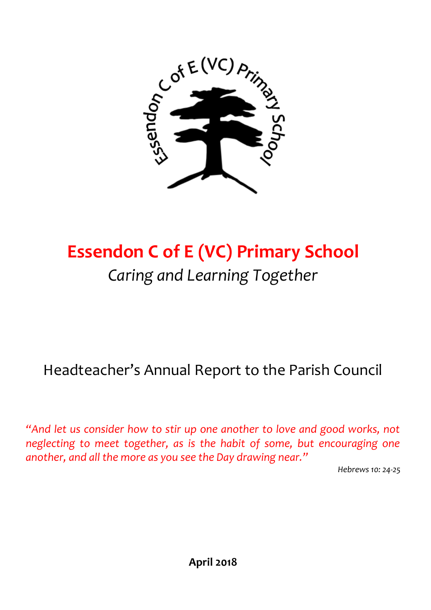

# **Essendon C of E (VC) Primary School** *Caring and Learning Together*

Headteacher's Annual Report to the Parish Council

"And let us consider how to stir up one another to love and good works, not *neglecting to meet together, as is the habit of some, but encouraging one another, and all the more as you see the Day drawing near."* 

*Hebrews 10: 24-25*

**April 2018**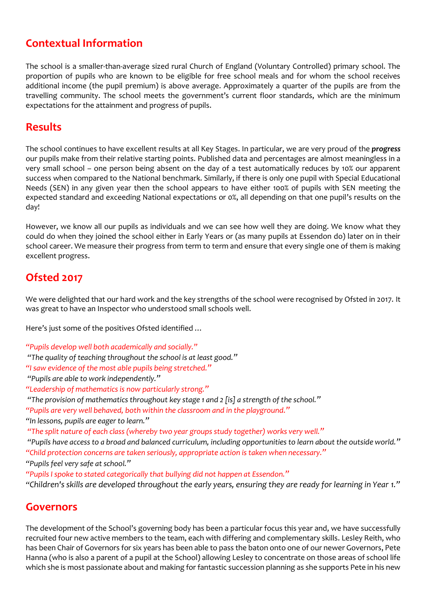#### **Contextual Information**

The school is a smaller-than-average sized rural Church of England (Voluntary Controlled) primary school. The proportion of pupils who are known to be eligible for free school meals and for whom the school receives additional income (the pupil premium) is above average. Approximately a quarter of the pupils are from the travelling community. The school meets the government's current floor standards, which are the minimum expectations for the attainment and progress of pupils.

#### **Results**

The school continues to have excellent results at all Key Stages. In particular, we are very proud of the *progress*  our pupils make from their relative starting points. Published data and percentages are almost meaningless in a very small school – one person being absent on the day of a test automatically reduces by 10% our apparent success when compared to the National benchmark. Similarly, if there is only one pupil with Special Educational Needs (SEN) in any given year then the school appears to have either 100% of pupils with SEN meeting the expected standard and exceeding National expectations or 0%, all depending on that one pupil's results on the day!

However, we know all our pupils as individuals and we can see how well they are doing. We know what they could do when they joined the school either in Early Years or (as many pupils at Essendon do) later on in their school career. We measure their progress from term to term and ensure that every single one of them is making excellent progress.

### **Ofsted 2017**

We were delighted that our hard work and the key strengths of the school were recognised by Ofsted in 2017. It was great to have an Inspector who understood small schools well.

Here's just some of the positives Ofsted identified …

*"Pupils develop well both academically and socially."*

*"The quality of teaching throughout the school is at least good."*

*"I saw evidence of the most able pupils being stretched."*

*"Pupils are able to work independently."*

*"Leadership of mathematics is now particularly strong."*

*"The provision of mathematics throughout key stage 1 and 2 [is] a strength of the school."*

*"Pupils are very well behaved, both within the classroom and in the playground."*

*"In lessons, pupils are eager to learn."*

*"The split nature of each class (whereby two year groups study together) works very well."*

*"Pupils have access to a broad and balanced curriculum, including opportunities to learn about the outside world." "Child protection concerns are taken seriously, appropriate action is taken when necessary."*

*"Pupils feel very safe at school."*

*"Pupils I spoke to stated categorically that bullying did not happen at Essendon."*

*"Children's skills are developed throughout the early years, ensuring they are ready for learning in Year 1."*

#### **Governors**

The development of the School's governing body has been a particular focus this year and, we have successfully recruited four new active members to the team, each with differing and complementary skills. Lesley Reith, who has been Chair of Governors for six years has been able to pass the baton onto one of our newer Governors, Pete Hanna (who is also a parent of a pupil at the School) allowing Lesley to concentrate on those areas of school life which she is most passionate about and making for fantastic succession planning as she supports Pete in his new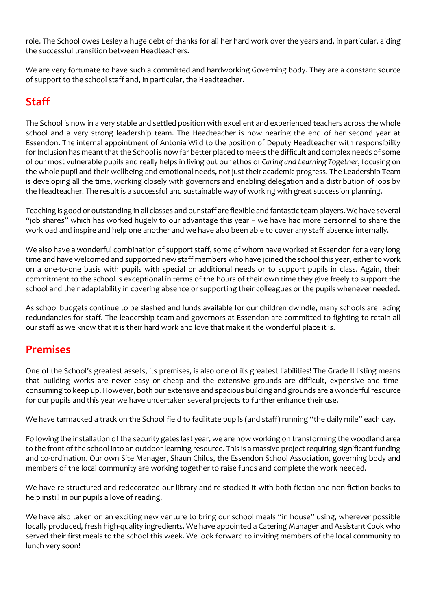role. The School owes Lesley a huge debt of thanks for all her hard work over the years and, in particular, aiding the successful transition between Headteachers.

We are very fortunate to have such a committed and hardworking Governing body. They are a constant source of support to the school staff and, in particular, the Headteacher.

## **Staff**

The School is now in a very stable and settled position with excellent and experienced teachers across the whole school and a very strong leadership team. The Headteacher is now nearing the end of her second year at Essendon. The internal appointment of Antonia Wild to the position of Deputy Headteacher with responsibility for Inclusion has meant that the School is now far better placed to meets the difficult and complex needs of some of our most vulnerable pupils and really helps in living out our ethos of *Caring and Learning Together*, focusing on the whole pupil and their wellbeing and emotional needs, not just their academic progress. The Leadership Team is developing all the time, working closely with governors and enabling delegation and a distribution of jobs by the Headteacher. The result is a successful and sustainable way of working with great succession planning.

Teaching is good or outstanding in all classes and our staff are flexible and fantastic team players. We have several "job shares" which has worked hugely to our advantage this year – we have had more personnel to share the workload and inspire and help one another and we have also been able to cover any staff absence internally.

We also have a wonderful combination of support staff, some of whom have worked at Essendon for a very long time and have welcomed and supported new staff members who have joined the school this year, either to work on a one-to-one basis with pupils with special or additional needs or to support pupils in class. Again, their commitment to the school is exceptional in terms of the hours of their own time they give freely to support the school and their adaptability in covering absence or supporting their colleagues or the pupils whenever needed.

As school budgets continue to be slashed and funds available for our children dwindle, many schools are facing redundancies for staff. The leadership team and governors at Essendon are committed to fighting to retain all our staff as we know that it is their hard work and love that make it the wonderful place it is.

#### **Premises**

One of the School's greatest assets, its premises, is also one of its greatest liabilities! The Grade II listing means that building works are never easy or cheap and the extensive grounds are difficult, expensive and timeconsuming to keep up. However, both our extensive and spacious building and grounds are a wonderful resource for our pupils and this year we have undertaken several projects to further enhance their use.

We have tarmacked a track on the School field to facilitate pupils (and staff) running "the daily mile" each day.

Following the installation of the security gates last year, we are now working on transforming the woodland area to the front of the school into an outdoor learning resource. This is a massive project requiring significant funding and co-ordination. Our own Site Manager, Shaun Childs, the Essendon School Association, governing body and members of the local community are working together to raise funds and complete the work needed.

We have re-structured and redecorated our library and re-stocked it with both fiction and non-fiction books to help instill in our pupils a love of reading.

We have also taken on an exciting new venture to bring our school meals "in house" using, wherever possible locally produced, fresh high-quality ingredients. We have appointed a Catering Manager and Assistant Cook who served their first meals to the school this week. We look forward to inviting members of the local community to lunch very soon!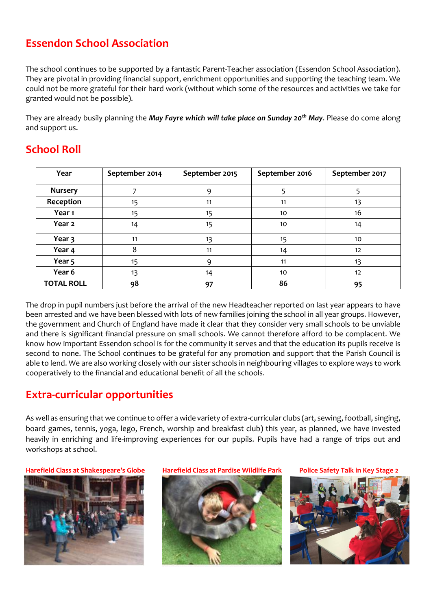### **Essendon School Association**

The school continues to be supported by a fantastic Parent-Teacher association (Essendon School Association). They are pivotal in providing financial support, enrichment opportunities and supporting the teaching team. We could not be more grateful for their hard work (without which some of the resources and activities we take for granted would not be possible).

They are already busily planning the *May Fayre which will take place on Sunday 20th May*. Please do come along and support us.

#### **School Roll**

| Year              | September 2014 | September 2015 | September 2016 | September 2017 |
|-------------------|----------------|----------------|----------------|----------------|
| <b>Nursery</b>    |                | q              |                |                |
| Reception         | 15             | 11             | 11             | 13             |
| Year <sub>1</sub> | 15             | 15             | 10             | 16             |
| Year <sub>2</sub> | 14             | 15             | 10             | 14             |
| Year 3            | 11             | 13             | 15             | 10             |
| Year 4            | 8              | 11             | 14             | 12             |
| Year 5            | 15             | q              | 11             | 13             |
| Year 6            | 13             | 14             | 10             | 12             |
| <b>TOTAL ROLL</b> | 98             | 97             | 86             | 95             |

The drop in pupil numbers just before the arrival of the new Headteacher reported on last year appears to have been arrested and we have been blessed with lots of new families joining the school in all year groups. However, the government and Church of England have made it clear that they consider very small schools to be unviable and there is significant financial pressure on small schools. We cannot therefore afford to be complacent. We know how important Essendon school is for the community it serves and that the education its pupils receive is second to none. The School continues to be grateful for any promotion and support that the Parish Council is able to lend. We are also working closely with our sister schools in neighbouring villages to explore ways to work cooperatively to the financial and educational benefit of all the schools.

#### **Extra-curricular opportunities**

As well as ensuring that we continue to offer a wide variety of extra-curricular clubs (art, sewing, football, singing, board games, tennis, yoga, lego, French, worship and breakfast club) this year, as planned, we have invested heavily in enriching and life-improving experiences for our pupils. Pupils have had a range of trips out and workshops at school.

**Harefield Class at Shakespeare's Globe Harefield Class at Pardise Wildlife Park Police Safety Talk in Key Stage 2**





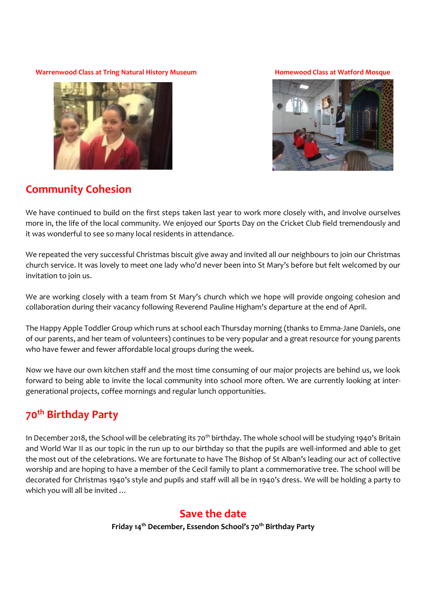#### **Warrenwood Class at Tring Natural History Museum Homewood Class at Watford Mosque**





#### **Community Cohesion**

We have continued to build on the first steps taken last year to work more closely with, and involve ourselves more in, the life of the local community. We enjoyed our Sports Day on the Cricket Club field tremendously and it was wonderful to see so many local residents in attendance.

We repeated the very successful Christmas biscuit give away and invited all our neighbours to join our Christmas church service. It was lovely to meet one lady who'd never been into St Mary's before but felt welcomed by our invitation to join us.

We are working closely with a team from St Mary's church which we hope will provide ongoing cohesion and collaboration during their vacancy following Reverend Pauline Higham's departure at the end of April.

The Happy Apple Toddler Group which runs at school each Thursday morning (thanks to Emma-Jane Daniels, one of our parents, and her team of volunteers) continues to be very popular and a great resource for young parents who have fewer and fewer affordable local groups during the week.

Now we have our own kitchen staff and the most time consuming of our major projects are behind us, we look forward to being able to invite the local community into school more often. We are currently looking at intergenerational projects, coffee mornings and regular lunch opportunities.

#### **70th Birthday Party**

In December 2018, the School will be celebrating its 70<sup>th</sup> birthday. The whole school will be studying 1940's Britain and World War II as our topic in the run up to our birthday so that the pupils are well-informed and able to get the most out of the celebrations. We are fortunate to have The Bishop of St Alban's leading our act of collective worship and are hoping to have a member of the Cecil family to plant a commemorative tree. The school will be decorated for Christmas 1940's style and pupils and staff will all be in 1940's dress. We will be holding a party to which you will all be invited …

#### **Save the date**

**Friday 14th December, Essendon School's 70th Birthday Party**